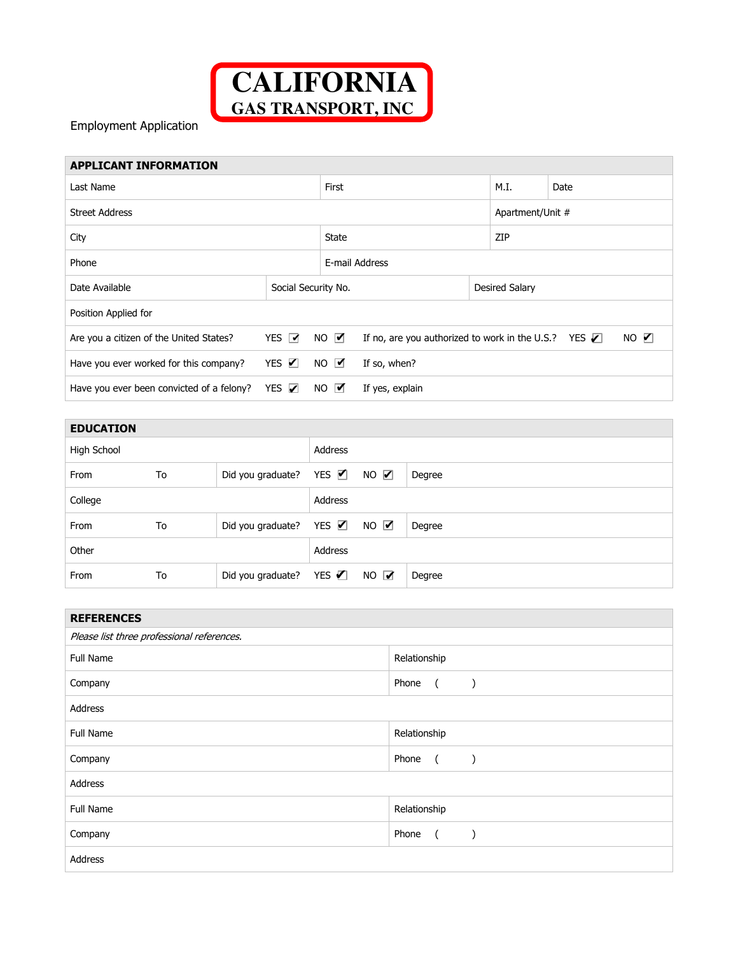

Employment Application

## **APPLICANT INFORMATION**

| Last Name                                 |                     |             | First                                                                            |  |                | Date             |  |
|-------------------------------------------|---------------------|-------------|----------------------------------------------------------------------------------|--|----------------|------------------|--|
| Street Address                            |                     |             |                                                                                  |  |                | Apartment/Unit # |  |
| City                                      |                     |             | <b>State</b>                                                                     |  |                | ZIP              |  |
| Phone                                     |                     |             | E-mail Address                                                                   |  |                |                  |  |
| Date Available                            | Social Security No. |             |                                                                                  |  | Desired Salary |                  |  |
| Position Applied for                      |                     |             |                                                                                  |  |                |                  |  |
| Are you a citizen of the United States?   | YES M               | $NO$ $V$    | NO $\nabla$<br>If no, are you authorized to work in the U.S.? YES $\blacksquare$ |  |                |                  |  |
| Have you ever worked for this company?    | YES $\nabla$        | NO <b>M</b> | If so, when?                                                                     |  |                |                  |  |
| Have you ever been convicted of a felony? | YES $\nabla$        | $NO$ $V$    | If yes, explain                                                                  |  |                |                  |  |

| <b>EDUCATION</b> |    |                                            |         |                     |        |
|------------------|----|--------------------------------------------|---------|---------------------|--------|
| High School      |    |                                            | Address |                     |        |
| From             | To | Did you graduate? YES $\blacksquare$       |         | $NO$ $\blacksquare$ | Degree |
| College          |    |                                            | Address |                     |        |
| From             | To | Did you graduate? YES $\times$ NO $\times$ |         |                     | Degree |
| Other            |    |                                            | Address |                     |        |
| From             | To | Did you graduate? YES $\blacksquare$       |         | $NO$ $V$            | Degree |

| <b>REFERENCES</b>                          |                                      |  |  |
|--------------------------------------------|--------------------------------------|--|--|
| Please list three professional references. |                                      |  |  |
| Full Name                                  | Relationship                         |  |  |
| Company                                    | Phone<br>$\sqrt{2}$                  |  |  |
| Address                                    |                                      |  |  |
| Full Name                                  | Relationship                         |  |  |
| Company                                    | Phone<br>$\overline{a}$<br>$\lambda$ |  |  |
| Address                                    |                                      |  |  |
| Full Name                                  | Relationship                         |  |  |
| Company                                    | Phone<br>$\overline{a}$              |  |  |
| Address                                    |                                      |  |  |